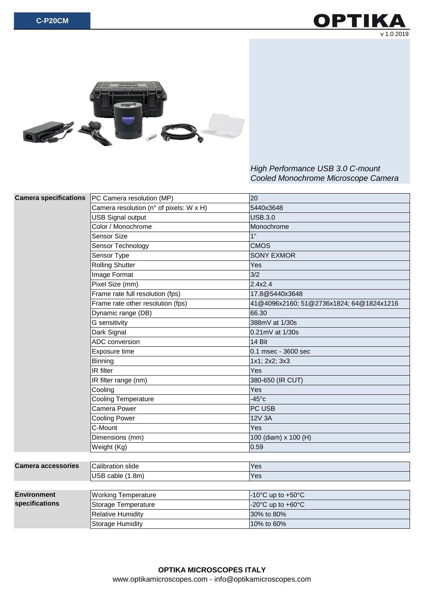



## *High Performance USB 3.0 C-mount Cooled Monochrome Microscope Camera*

| <b>Camera specifications</b>         | PC Camera resolution (MP)               | 20                                       |
|--------------------------------------|-----------------------------------------|------------------------------------------|
|                                      | Camera resolution (n° of pixels: W x H) | 5440x3648                                |
|                                      | <b>USB Signal output</b>                | <b>USB.3.0</b>                           |
|                                      | Color / Monochrome                      | Monochrome                               |
|                                      | <b>Sensor Size</b>                      | 1"                                       |
|                                      | Sensor Technology                       | <b>CMOS</b>                              |
|                                      | Sensor Type                             | <b>SONY EXMOR</b>                        |
|                                      | <b>Rolling Shutter</b>                  | Yes                                      |
|                                      | Image Format                            | 3/2                                      |
|                                      | Pixel Size (mm)                         | 2.4x2.4                                  |
|                                      | Frame rate full resolution (fps)        | 17.8@5440x3648                           |
|                                      | Frame rate other resolution (fps)       | 41@4096x2160; 51@2736x1824; 64@1824x1216 |
|                                      | Dynamic range (DB)                      | 66.30                                    |
|                                      | G sensitivity                           | 388mV at 1/30s                           |
|                                      | Dark Signal                             | 0.21mV at 1/30s                          |
|                                      | ADC conversion                          | 14 Bit                                   |
|                                      | Exposure time                           | 0.1 msec - 3600 sec                      |
|                                      | <b>Binning</b>                          | 1x1; 2x2; 3x3                            |
|                                      | IR filter                               | Yes                                      |
|                                      | IR filter range (nm)                    | 380-650 (IR CUT)                         |
|                                      | Cooling                                 | Yes                                      |
|                                      | <b>Cooling Temperature</b>              | $-45^{\circ}$ c                          |
|                                      | Camera Power                            | PC USB                                   |
|                                      | <b>Cooling Power</b>                    | 12V 3A                                   |
|                                      | C-Mount                                 | Yes                                      |
|                                      | Dimensions (mm)                         | 100 (diam) x 100 (H)                     |
|                                      | Weight (Kg)                             | 0.59                                     |
|                                      |                                         |                                          |
| <b>Camera accessories</b>            | <b>Calibration slide</b>                | Yes                                      |
|                                      | USB cable (1.8m)                        | Yes                                      |
|                                      |                                         |                                          |
| <b>Environment</b><br>specifications | <b>Working Temperature</b>              | -10 $^{\circ}$ C up to +50 $^{\circ}$ C  |
|                                      | Storage Temperature                     | -20°C up to +60°C                        |
|                                      | <b>Relative Humidity</b>                | 30% to 80%                               |
|                                      | <b>Storage Humidity</b>                 | 10% to 60%                               |